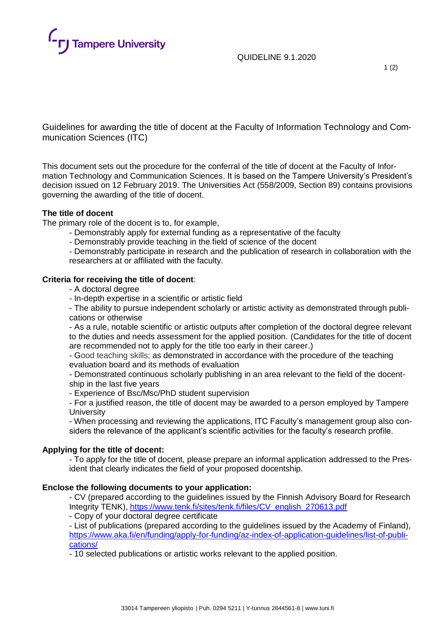

QUIDELINE 9.1.2020

1 (2)

Guidelines for awarding the title of docent at the Faculty of Information Technology and Communication Sciences (ITC)

This document sets out the procedure for the conferral of the title of docent at the Faculty of Information Technology and Communication Sciences. It is based on the Tampere University's President's decision issued on 12 February 2019. The Universities Act (558/2009, Section 89) contains provisions governing the awarding of the title of docent.

# **The title of docent**

The primary role of the docent is to, for example,

- Demonstrably apply for external funding as a representative of the faculty
- Demonstrably provide teaching in the field of science of the docent

- Demonstrably participate in research and the publication of research in collaboration with the researchers at or affiliated with the faculty.

# **Criteria for receiving the title of docent**:

- A doctoral degree
- In-depth expertise in a scientific or artistic field

- The ability to pursue independent scholarly or artistic activity as demonstrated through publications or otherwise

- As a rule, notable scientific or artistic outputs after completion of the doctoral degree relevant to the duties and needs assessment for the applied position. (Candidates for the title of docent are recommended not to apply for the title too early in their career.)

- Good teaching skills; as demonstrated in accordance with the procedure of the teaching evaluation board and its methods of evaluation

- Demonstrated continuous scholarly publishing in an area relevant to the field of the docentship in the last five years

- Experience of Bsc/Msc/PhD student supervision

- For a justified reason, the title of docent may be awarded to a person employed by Tampere **University** 

- When processing and reviewing the applications, ITC Faculty's management group also considers the relevance of the applicant's scientific activities for the faculty's research profile.

### **Applying for the title of docent:**

- To apply for the title of docent, please prepare an informal application addressed to the President that clearly indicates the field of your proposed docentship.

### **Enclose the following documents to your application:**

- CV (prepared according to the guidelines issued by the Finnish Advisory Board for Research Integrity TENK), [https://www.tenk.fi/sites/tenk.fi/files/CV\\_english\\_270613.pdf](https://www.tenk.fi/sites/tenk.fi/files/CV_english_270613.pdf)

- Copy of your doctoral degree certificate

- List of publications (prepared according to the guidelines issued by the Academy of Finland), [https://www.aka.fi/en/funding/apply-for-funding/az-index-of-application-guidelines/list-of-publi](https://www.aka.fi/en/funding/apply-for-funding/az-index-of-application-guidelines/list-of-publications/)[cations/](https://www.aka.fi/en/funding/apply-for-funding/az-index-of-application-guidelines/list-of-publications/)

- 10 selected publications or artistic works relevant to the applied position.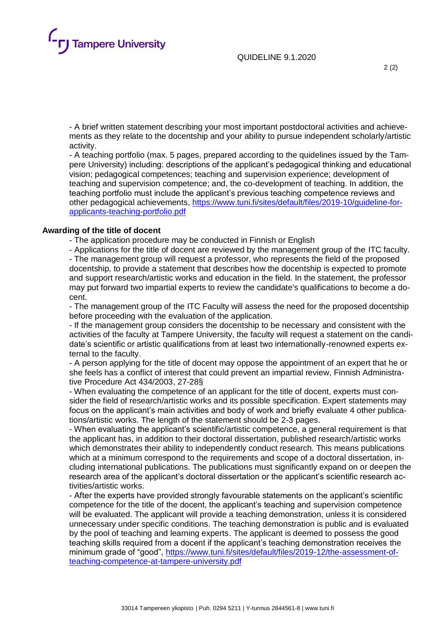

QUIDELINE 9.1.2020

- A brief written statement describing your most important postdoctoral activities and achievements as they relate to the docentship and your ability to pursue independent scholarly/artistic activity.

- A teaching portfolio (max. 5 pages, prepared according to the quidelines issued by the Tampere University) including: descriptions of the applicant's pedagogical thinking and educational vision; pedagogical competences; teaching and supervision experience; development of teaching and supervision competence; and, the co-development of teaching. In addition, the teaching portfolio must include the applicant's previous teaching competence reviews and other pedagogical achievements, [https://www.tuni.fi/sites/default/files/2019-10/guideline-for](https://www.tuni.fi/sites/default/files/2019-10/guideline-for-applicants-teaching-portfolio.pdf)[applicants-teaching-portfolio.pdf](https://www.tuni.fi/sites/default/files/2019-10/guideline-for-applicants-teaching-portfolio.pdf)

#### **Awarding of the title of docent**

- The application procedure may be conducted in Finnish or English

- Applications for the title of docent are reviewed by the management group of the ITC faculty. - The management group will request a professor, who represents the field of the proposed docentship, to provide a statement that describes how the docentship is expected to promote and support research/artistic works and education in the field. In the statement, the professor may put forward two impartial experts to review the candidate's qualifications to become a docent.

- The management group of the ITC Faculty will assess the need for the proposed docentship before proceeding with the evaluation of the application.

- If the management group considers the docentship to be necessary and consistent with the activities of the faculty at Tampere University, the faculty will request a statement on the candidate's scientific or artistic qualifications from at least two internationally-renowned experts external to the faculty.

- A person applying for the title of docent may oppose the appointment of an expert that he or she feels has a conflict of interest that could prevent an impartial review, Finnish Administrative Procedure Act 434/2003, 27-28§

- When evaluating the competence of an applicant for the title of docent, experts must consider the field of research/artistic works and its possible specification. Expert statements may focus on the applicant's main activities and body of work and briefly evaluate 4 other publications/artistic works. The length of the statement should be 2-3 pages.

- When evaluating the applicant's scientific/artistic competence, a general requirement is that the applicant has, in addition to their doctoral dissertation, published research/artistic works which demonstrates their ability to independently conduct research. This means publications which at a minimum correspond to the requirements and scope of a doctoral dissertation, including international publications. The publications must significantly expand on or deepen the research area of the applicant's doctoral dissertation or the applicant's scientific research activities/artistic works.

- After the experts have provided strongly favourable statements on the applicant's scientific competence for the title of the docent, the applicant's teaching and supervision competence will be evaluated. The applicant will provide a teaching demonstration, unless it is considered unnecessary under specific conditions. The teaching demonstration is public and is evaluated by the pool of teaching and learning experts. The applicant is deemed to possess the good teaching skills required from a docent if the applicant's teaching demonstration receives the minimum grade of "good", [https://www.tuni.fi/sites/default/files/2019-12/the-assessment-of](https://www.tuni.fi/sites/default/files/2019-12/the-assessment-of-teaching-competence-at-tampere-university.pdf)[teaching-competence-at-tampere-university.pdf](https://www.tuni.fi/sites/default/files/2019-12/the-assessment-of-teaching-competence-at-tampere-university.pdf)